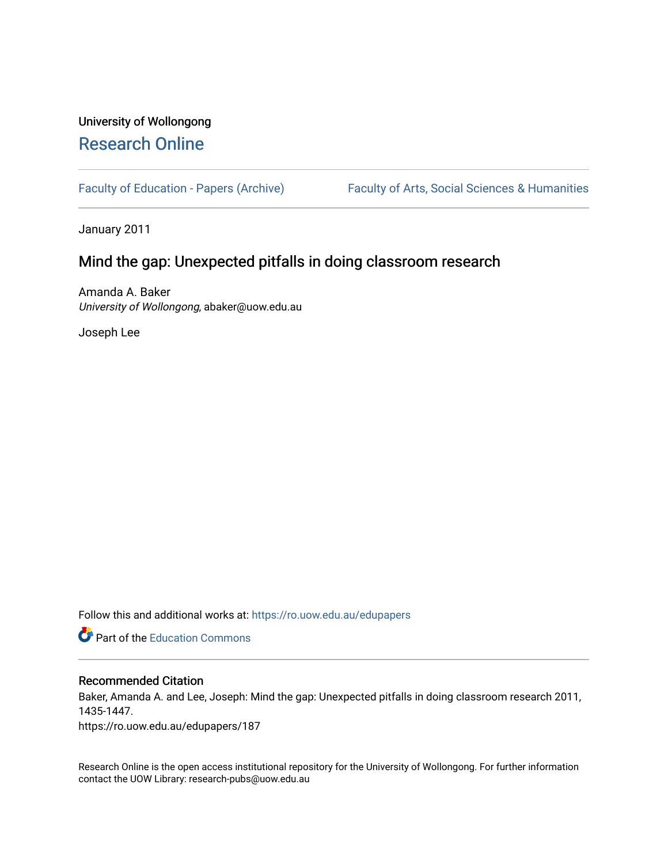# University of Wollongong [Research Online](https://ro.uow.edu.au/)

[Faculty of Education - Papers \(Archive\)](https://ro.uow.edu.au/edupapers) Faculty of Arts, Social Sciences & Humanities

January 2011

# Mind the gap: Unexpected pitfalls in doing classroom research

Amanda A. Baker University of Wollongong, abaker@uow.edu.au

Joseph Lee

Follow this and additional works at: [https://ro.uow.edu.au/edupapers](https://ro.uow.edu.au/edupapers?utm_source=ro.uow.edu.au%2Fedupapers%2F187&utm_medium=PDF&utm_campaign=PDFCoverPages) 

**C** Part of the [Education Commons](http://network.bepress.com/hgg/discipline/784?utm_source=ro.uow.edu.au%2Fedupapers%2F187&utm_medium=PDF&utm_campaign=PDFCoverPages)

#### Recommended Citation

Baker, Amanda A. and Lee, Joseph: Mind the gap: Unexpected pitfalls in doing classroom research 2011, 1435-1447.

https://ro.uow.edu.au/edupapers/187

Research Online is the open access institutional repository for the University of Wollongong. For further information contact the UOW Library: research-pubs@uow.edu.au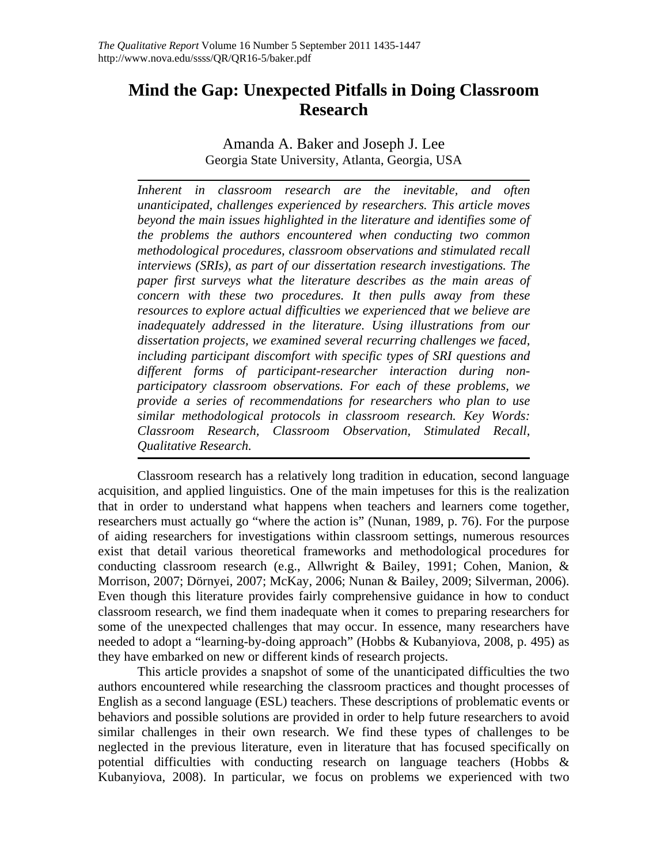# **Mind the Gap: Unexpected Pitfalls in Doing Classroom Research**

Amanda A. Baker and Joseph J. Lee Georgia State University, Atlanta, Georgia, USA

*Inherent in classroom research are the inevitable, and often unanticipated, challenges experienced by researchers. This article moves beyond the main issues highlighted in the literature and identifies some of the problems the authors encountered when conducting two common methodological procedures, classroom observations and stimulated recall interviews (SRIs), as part of our dissertation research investigations. The paper first surveys what the literature describes as the main areas of concern with these two procedures. It then pulls away from these resources to explore actual difficulties we experienced that we believe are inadequately addressed in the literature. Using illustrations from our dissertation projects, we examined several recurring challenges we faced, including participant discomfort with specific types of SRI questions and different forms of participant-researcher interaction during nonparticipatory classroom observations. For each of these problems, we provide a series of recommendations for researchers who plan to use similar methodological protocols in classroom research. Key Words: Classroom Research, Classroom Observation, Stimulated Recall, Qualitative Research.* 

Classroom research has a relatively long tradition in education, second language acquisition, and applied linguistics. One of the main impetuses for this is the realization that in order to understand what happens when teachers and learners come together, researchers must actually go "where the action is" (Nunan, 1989, p. 76). For the purpose of aiding researchers for investigations within classroom settings, numerous resources exist that detail various theoretical frameworks and methodological procedures for conducting classroom research (e.g., Allwright & Bailey, 1991; Cohen, Manion,  $\&$ Morrison, 2007; Dörnyei, 2007; McKay, 2006; Nunan & Bailey, 2009; Silverman, 2006). Even though this literature provides fairly comprehensive guidance in how to conduct classroom research, we find them inadequate when it comes to preparing researchers for some of the unexpected challenges that may occur. In essence, many researchers have needed to adopt a "learning-by-doing approach" (Hobbs & Kubanyiova, 2008, p. 495) as they have embarked on new or different kinds of research projects.

This article provides a snapshot of some of the unanticipated difficulties the two authors encountered while researching the classroom practices and thought processes of English as a second language (ESL) teachers. These descriptions of problematic events or behaviors and possible solutions are provided in order to help future researchers to avoid similar challenges in their own research. We find these types of challenges to be neglected in the previous literature, even in literature that has focused specifically on potential difficulties with conducting research on language teachers (Hobbs & Kubanyiova, 2008). In particular, we focus on problems we experienced with two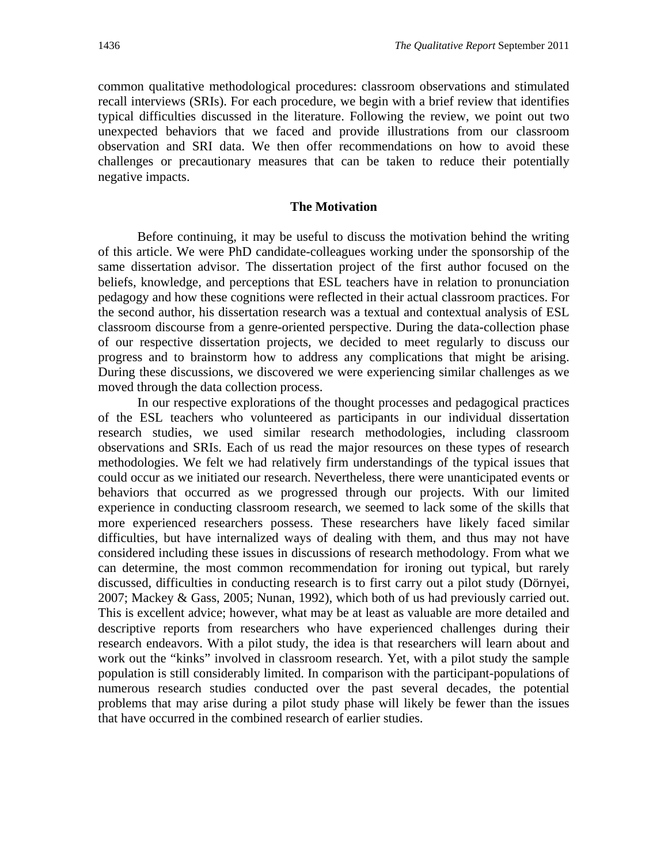common qualitative methodological procedures: classroom observations and stimulated recall interviews (SRIs). For each procedure, we begin with a brief review that identifies typical difficulties discussed in the literature. Following the review, we point out two unexpected behaviors that we faced and provide illustrations from our classroom observation and SRI data. We then offer recommendations on how to avoid these challenges or precautionary measures that can be taken to reduce their potentially negative impacts.

# **The Motivation**

 Before continuing, it may be useful to discuss the motivation behind the writing of this article. We were PhD candidate-colleagues working under the sponsorship of the same dissertation advisor. The dissertation project of the first author focused on the beliefs, knowledge, and perceptions that ESL teachers have in relation to pronunciation pedagogy and how these cognitions were reflected in their actual classroom practices. For the second author, his dissertation research was a textual and contextual analysis of ESL classroom discourse from a genre-oriented perspective. During the data-collection phase of our respective dissertation projects, we decided to meet regularly to discuss our progress and to brainstorm how to address any complications that might be arising. During these discussions, we discovered we were experiencing similar challenges as we moved through the data collection process.

In our respective explorations of the thought processes and pedagogical practices of the ESL teachers who volunteered as participants in our individual dissertation research studies, we used similar research methodologies, including classroom observations and SRIs. Each of us read the major resources on these types of research methodologies. We felt we had relatively firm understandings of the typical issues that could occur as we initiated our research. Nevertheless, there were unanticipated events or behaviors that occurred as we progressed through our projects. With our limited experience in conducting classroom research, we seemed to lack some of the skills that more experienced researchers possess. These researchers have likely faced similar difficulties, but have internalized ways of dealing with them, and thus may not have considered including these issues in discussions of research methodology. From what we can determine, the most common recommendation for ironing out typical, but rarely discussed, difficulties in conducting research is to first carry out a pilot study (Dörnyei, 2007; Mackey & Gass, 2005; Nunan, 1992), which both of us had previously carried out. This is excellent advice; however, what may be at least as valuable are more detailed and descriptive reports from researchers who have experienced challenges during their research endeavors. With a pilot study, the idea is that researchers will learn about and work out the "kinks" involved in classroom research. Yet, with a pilot study the sample population is still considerably limited. In comparison with the participant-populations of numerous research studies conducted over the past several decades, the potential problems that may arise during a pilot study phase will likely be fewer than the issues that have occurred in the combined research of earlier studies.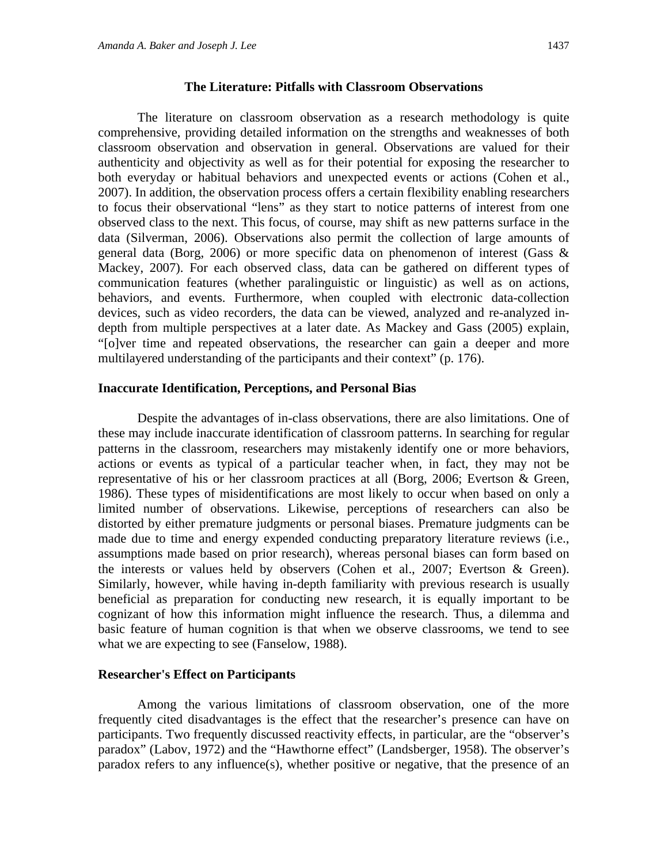The literature on classroom observation as a research methodology is quite comprehensive, providing detailed information on the strengths and weaknesses of both classroom observation and observation in general. Observations are valued for their authenticity and objectivity as well as for their potential for exposing the researcher to both everyday or habitual behaviors and unexpected events or actions (Cohen et al., 2007). In addition, the observation process offers a certain flexibility enabling researchers to focus their observational "lens" as they start to notice patterns of interest from one observed class to the next. This focus, of course, may shift as new patterns surface in the data (Silverman, 2006). Observations also permit the collection of large amounts of general data (Borg, 2006) or more specific data on phenomenon of interest (Gass & Mackey, 2007). For each observed class, data can be gathered on different types of communication features (whether paralinguistic or linguistic) as well as on actions, behaviors, and events. Furthermore, when coupled with electronic data-collection devices, such as video recorders, the data can be viewed, analyzed and re-analyzed indepth from multiple perspectives at a later date. As Mackey and Gass (2005) explain, "[o]ver time and repeated observations, the researcher can gain a deeper and more multilayered understanding of the participants and their context" (p. 176).

#### **Inaccurate Identification, Perceptions, and Personal Bias**

Despite the advantages of in-class observations, there are also limitations. One of these may include inaccurate identification of classroom patterns. In searching for regular patterns in the classroom, researchers may mistakenly identify one or more behaviors, actions or events as typical of a particular teacher when, in fact, they may not be representative of his or her classroom practices at all (Borg, 2006; Evertson & Green, 1986). These types of misidentifications are most likely to occur when based on only a limited number of observations. Likewise, perceptions of researchers can also be distorted by either premature judgments or personal biases. Premature judgments can be made due to time and energy expended conducting preparatory literature reviews (i.e., assumptions made based on prior research), whereas personal biases can form based on the interests or values held by observers (Cohen et al., 2007; Evertson & Green). Similarly, however, while having in-depth familiarity with previous research is usually beneficial as preparation for conducting new research, it is equally important to be cognizant of how this information might influence the research. Thus, a dilemma and basic feature of human cognition is that when we observe classrooms, we tend to see what we are expecting to see (Fanselow, 1988).

#### **Researcher's Effect on Participants**

Among the various limitations of classroom observation, one of the more frequently cited disadvantages is the effect that the researcher's presence can have on participants. Two frequently discussed reactivity effects, in particular, are the "observer's paradox" (Labov, 1972) and the "Hawthorne effect" (Landsberger, 1958). The observer's paradox refers to any influence(s), whether positive or negative, that the presence of an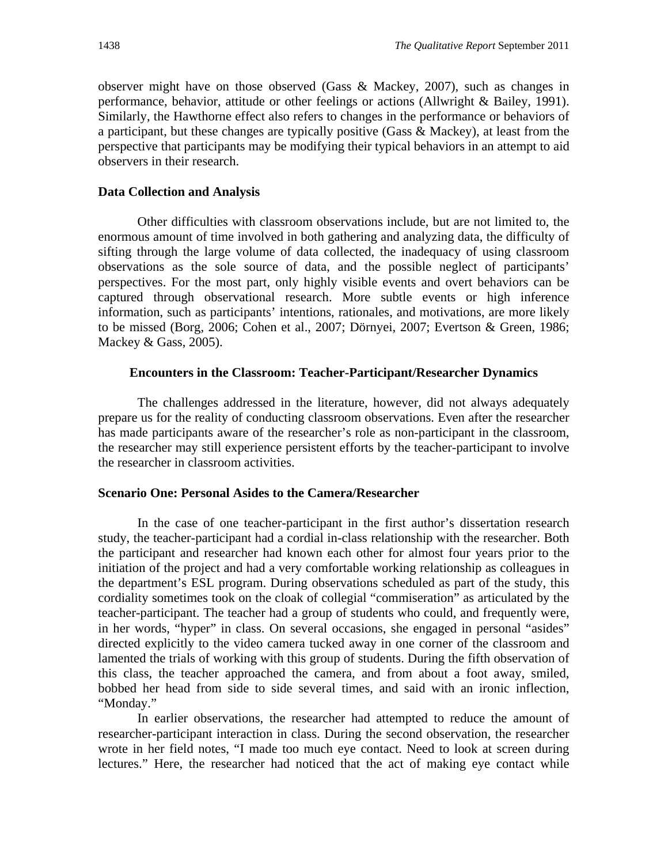observer might have on those observed (Gass & Mackey, 2007), such as changes in performance, behavior, attitude or other feelings or actions (Allwright & Bailey, 1991). Similarly, the Hawthorne effect also refers to changes in the performance or behaviors of a participant, but these changes are typically positive (Gass & Mackey), at least from the perspective that participants may be modifying their typical behaviors in an attempt to aid observers in their research.

# **Data Collection and Analysis**

Other difficulties with classroom observations include, but are not limited to, the enormous amount of time involved in both gathering and analyzing data, the difficulty of sifting through the large volume of data collected, the inadequacy of using classroom observations as the sole source of data, and the possible neglect of participants' perspectives. For the most part, only highly visible events and overt behaviors can be captured through observational research. More subtle events or high inference information, such as participants' intentions, rationales, and motivations, are more likely to be missed (Borg, 2006; Cohen et al., 2007; Dörnyei, 2007; Evertson & Green, 1986; Mackey & Gass, 2005).

# **Encounters in the Classroom: Teacher-Participant/Researcher Dynamics**

 The challenges addressed in the literature, however, did not always adequately prepare us for the reality of conducting classroom observations. Even after the researcher has made participants aware of the researcher's role as non-participant in the classroom, the researcher may still experience persistent efforts by the teacher-participant to involve the researcher in classroom activities.

# **Scenario One: Personal Asides to the Camera/Researcher**

 In the case of one teacher-participant in the first author's dissertation research study, the teacher-participant had a cordial in-class relationship with the researcher. Both the participant and researcher had known each other for almost four years prior to the initiation of the project and had a very comfortable working relationship as colleagues in the department's ESL program. During observations scheduled as part of the study, this cordiality sometimes took on the cloak of collegial "commiseration" as articulated by the teacher-participant. The teacher had a group of students who could, and frequently were, in her words, "hyper" in class. On several occasions, she engaged in personal "asides" directed explicitly to the video camera tucked away in one corner of the classroom and lamented the trials of working with this group of students. During the fifth observation of this class, the teacher approached the camera, and from about a foot away, smiled, bobbed her head from side to side several times, and said with an ironic inflection, "Monday."

In earlier observations, the researcher had attempted to reduce the amount of researcher-participant interaction in class. During the second observation, the researcher wrote in her field notes, "I made too much eye contact. Need to look at screen during lectures." Here, the researcher had noticed that the act of making eye contact while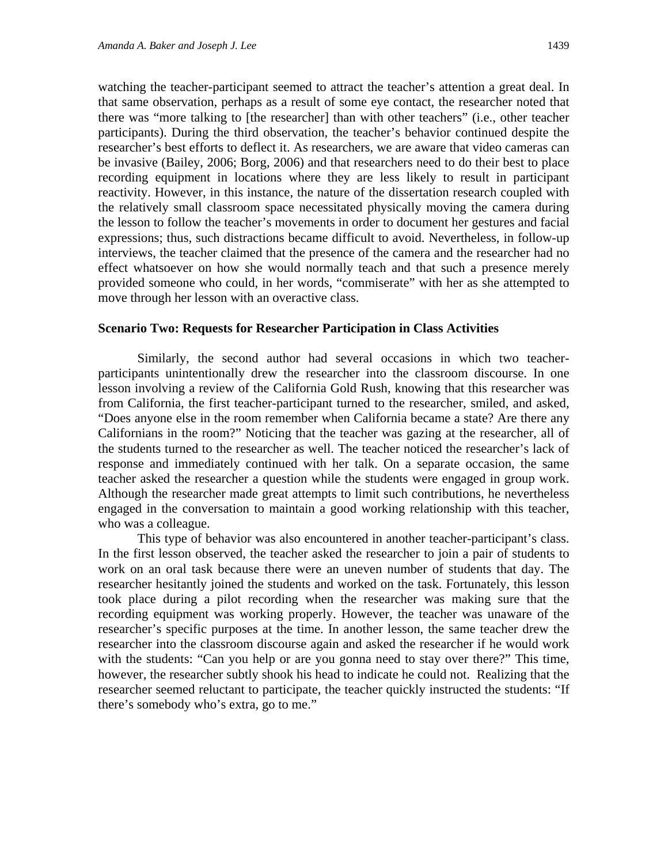watching the teacher-participant seemed to attract the teacher's attention a great deal. In that same observation, perhaps as a result of some eye contact, the researcher noted that there was "more talking to [the researcher] than with other teachers" (i.e., other teacher participants). During the third observation, the teacher's behavior continued despite the researcher's best efforts to deflect it. As researchers, we are aware that video cameras can be invasive (Bailey, 2006; Borg, 2006) and that researchers need to do their best to place recording equipment in locations where they are less likely to result in participant reactivity. However, in this instance, the nature of the dissertation research coupled with the relatively small classroom space necessitated physically moving the camera during the lesson to follow the teacher's movements in order to document her gestures and facial expressions; thus, such distractions became difficult to avoid. Nevertheless, in follow-up interviews, the teacher claimed that the presence of the camera and the researcher had no effect whatsoever on how she would normally teach and that such a presence merely provided someone who could, in her words, "commiserate" with her as she attempted to move through her lesson with an overactive class.

#### **Scenario Two: Requests for Researcher Participation in Class Activities**

 Similarly, the second author had several occasions in which two teacherparticipants unintentionally drew the researcher into the classroom discourse. In one lesson involving a review of the California Gold Rush, knowing that this researcher was from California, the first teacher-participant turned to the researcher, smiled, and asked, "Does anyone else in the room remember when California became a state? Are there any Californians in the room?" Noticing that the teacher was gazing at the researcher, all of the students turned to the researcher as well. The teacher noticed the researcher's lack of response and immediately continued with her talk. On a separate occasion, the same teacher asked the researcher a question while the students were engaged in group work. Although the researcher made great attempts to limit such contributions, he nevertheless engaged in the conversation to maintain a good working relationship with this teacher, who was a colleague.

This type of behavior was also encountered in another teacher-participant's class. In the first lesson observed, the teacher asked the researcher to join a pair of students to work on an oral task because there were an uneven number of students that day. The researcher hesitantly joined the students and worked on the task. Fortunately, this lesson took place during a pilot recording when the researcher was making sure that the recording equipment was working properly. However, the teacher was unaware of the researcher's specific purposes at the time. In another lesson, the same teacher drew the researcher into the classroom discourse again and asked the researcher if he would work with the students: "Can you help or are you gonna need to stay over there?" This time, however, the researcher subtly shook his head to indicate he could not. Realizing that the researcher seemed reluctant to participate, the teacher quickly instructed the students: "If there's somebody who's extra, go to me."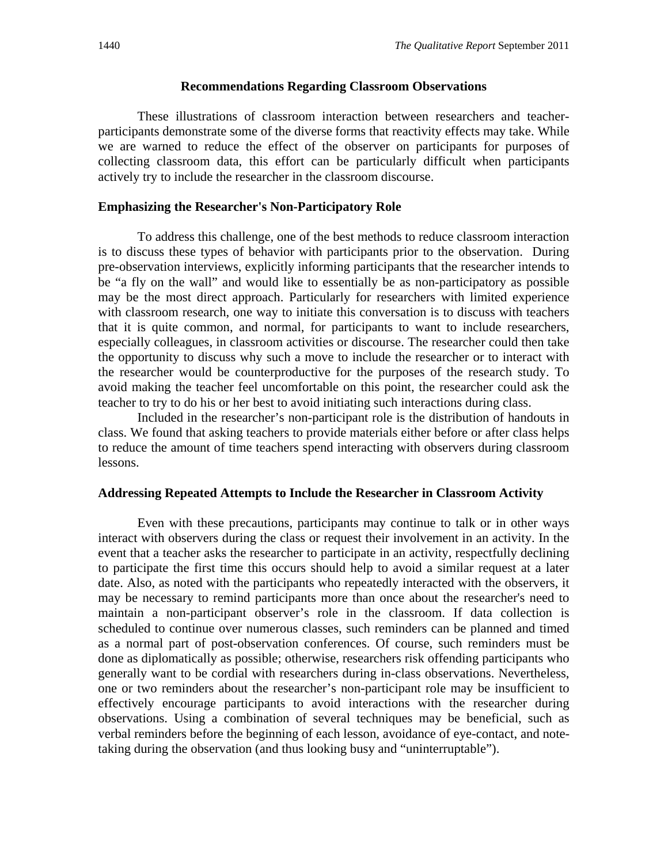#### **Recommendations Regarding Classroom Observations**

These illustrations of classroom interaction between researchers and teacherparticipants demonstrate some of the diverse forms that reactivity effects may take. While we are warned to reduce the effect of the observer on participants for purposes of collecting classroom data, this effort can be particularly difficult when participants actively try to include the researcher in the classroom discourse.

# **Emphasizing the Researcher's Non-Participatory Role**

To address this challenge, one of the best methods to reduce classroom interaction is to discuss these types of behavior with participants prior to the observation. During pre-observation interviews, explicitly informing participants that the researcher intends to be "a fly on the wall" and would like to essentially be as non-participatory as possible may be the most direct approach. Particularly for researchers with limited experience with classroom research, one way to initiate this conversation is to discuss with teachers that it is quite common, and normal, for participants to want to include researchers, especially colleagues, in classroom activities or discourse. The researcher could then take the opportunity to discuss why such a move to include the researcher or to interact with the researcher would be counterproductive for the purposes of the research study. To avoid making the teacher feel uncomfortable on this point, the researcher could ask the teacher to try to do his or her best to avoid initiating such interactions during class.

Included in the researcher's non-participant role is the distribution of handouts in class. We found that asking teachers to provide materials either before or after class helps to reduce the amount of time teachers spend interacting with observers during classroom lessons.

### **Addressing Repeated Attempts to Include the Researcher in Classroom Activity**

Even with these precautions, participants may continue to talk or in other ways interact with observers during the class or request their involvement in an activity. In the event that a teacher asks the researcher to participate in an activity, respectfully declining to participate the first time this occurs should help to avoid a similar request at a later date. Also, as noted with the participants who repeatedly interacted with the observers, it may be necessary to remind participants more than once about the researcher's need to maintain a non-participant observer's role in the classroom. If data collection is scheduled to continue over numerous classes, such reminders can be planned and timed as a normal part of post-observation conferences. Of course, such reminders must be done as diplomatically as possible; otherwise, researchers risk offending participants who generally want to be cordial with researchers during in-class observations. Nevertheless, one or two reminders about the researcher's non-participant role may be insufficient to effectively encourage participants to avoid interactions with the researcher during observations. Using a combination of several techniques may be beneficial, such as verbal reminders before the beginning of each lesson, avoidance of eye-contact, and notetaking during the observation (and thus looking busy and "uninterruptable").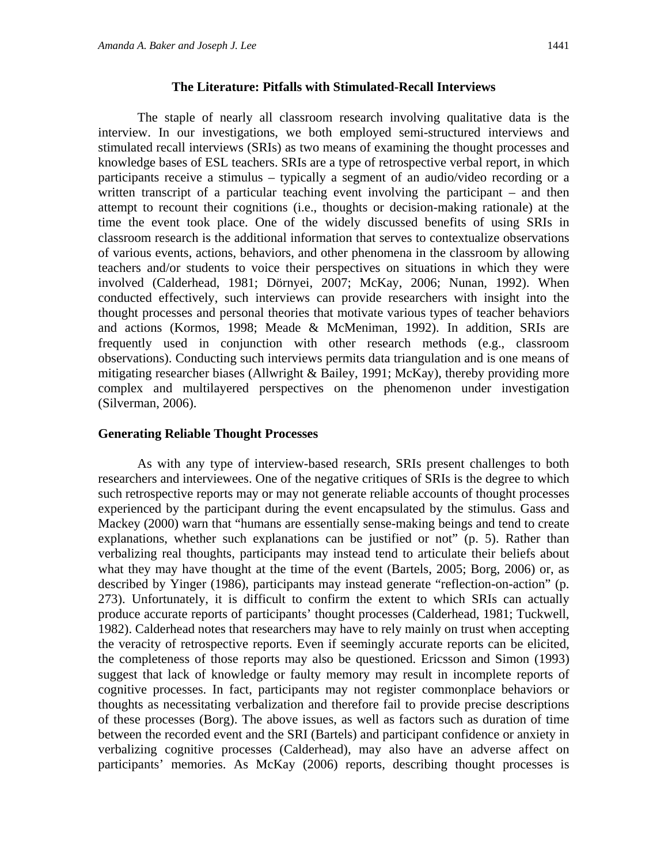#### **The Literature: Pitfalls with Stimulated-Recall Interviews**

 The staple of nearly all classroom research involving qualitative data is the interview. In our investigations, we both employed semi-structured interviews and stimulated recall interviews (SRIs) as two means of examining the thought processes and knowledge bases of ESL teachers. SRIs are a type of retrospective verbal report, in which participants receive a stimulus – typically a segment of an audio/video recording or a written transcript of a particular teaching event involving the participant – and then attempt to recount their cognitions (i.e., thoughts or decision-making rationale) at the time the event took place. One of the widely discussed benefits of using SRIs in classroom research is the additional information that serves to contextualize observations of various events, actions, behaviors, and other phenomena in the classroom by allowing teachers and/or students to voice their perspectives on situations in which they were involved (Calderhead, 1981; Dörnyei, 2007; McKay, 2006; Nunan, 1992). When conducted effectively, such interviews can provide researchers with insight into the thought processes and personal theories that motivate various types of teacher behaviors and actions (Kormos, 1998; Meade & McMeniman, 1992). In addition, SRIs are frequently used in conjunction with other research methods (e.g., classroom observations). Conducting such interviews permits data triangulation and is one means of mitigating researcher biases (Allwright & Bailey, 1991; McKay), thereby providing more complex and multilayered perspectives on the phenomenon under investigation (Silverman, 2006).

#### **Generating Reliable Thought Processes**

As with any type of interview-based research, SRIs present challenges to both researchers and interviewees. One of the negative critiques of SRIs is the degree to which such retrospective reports may or may not generate reliable accounts of thought processes experienced by the participant during the event encapsulated by the stimulus. Gass and Mackey (2000) warn that "humans are essentially sense-making beings and tend to create explanations, whether such explanations can be justified or not" (p. 5). Rather than verbalizing real thoughts, participants may instead tend to articulate their beliefs about what they may have thought at the time of the event (Bartels, 2005; Borg, 2006) or, as described by Yinger (1986), participants may instead generate "reflection-on-action" (p. 273). Unfortunately, it is difficult to confirm the extent to which SRIs can actually produce accurate reports of participants' thought processes (Calderhead, 1981; Tuckwell, 1982). Calderhead notes that researchers may have to rely mainly on trust when accepting the veracity of retrospective reports. Even if seemingly accurate reports can be elicited, the completeness of those reports may also be questioned. Ericsson and Simon (1993) suggest that lack of knowledge or faulty memory may result in incomplete reports of cognitive processes. In fact, participants may not register commonplace behaviors or thoughts as necessitating verbalization and therefore fail to provide precise descriptions of these processes (Borg). The above issues, as well as factors such as duration of time between the recorded event and the SRI (Bartels) and participant confidence or anxiety in verbalizing cognitive processes (Calderhead), may also have an adverse affect on participants' memories. As McKay (2006) reports, describing thought processes is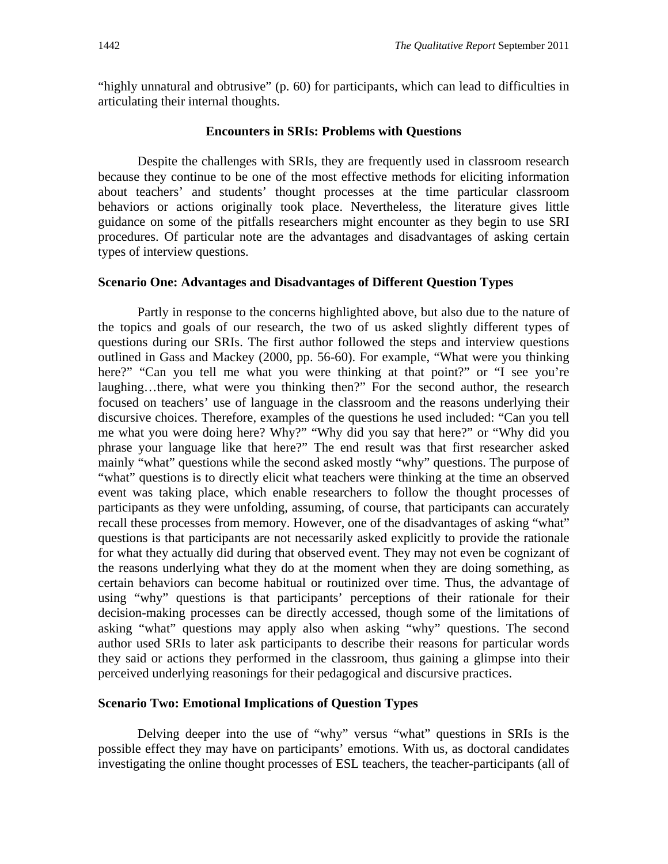"highly unnatural and obtrusive" (p. 60) for participants, which can lead to difficulties in articulating their internal thoughts.

# **Encounters in SRIs: Problems with Questions**

Despite the challenges with SRIs, they are frequently used in classroom research because they continue to be one of the most effective methods for eliciting information about teachers' and students' thought processes at the time particular classroom behaviors or actions originally took place. Nevertheless, the literature gives little guidance on some of the pitfalls researchers might encounter as they begin to use SRI procedures. Of particular note are the advantages and disadvantages of asking certain types of interview questions.

#### **Scenario One: Advantages and Disadvantages of Different Question Types**

 Partly in response to the concerns highlighted above, but also due to the nature of the topics and goals of our research, the two of us asked slightly different types of questions during our SRIs. The first author followed the steps and interview questions outlined in Gass and Mackey (2000, pp. 56-60). For example, "What were you thinking here?" "Can you tell me what you were thinking at that point?" or "I see you're laughing…there, what were you thinking then?" For the second author, the research focused on teachers' use of language in the classroom and the reasons underlying their discursive choices. Therefore, examples of the questions he used included: "Can you tell me what you were doing here? Why?" "Why did you say that here?" or "Why did you phrase your language like that here?" The end result was that first researcher asked mainly "what" questions while the second asked mostly "why" questions. The purpose of "what" questions is to directly elicit what teachers were thinking at the time an observed event was taking place, which enable researchers to follow the thought processes of participants as they were unfolding, assuming, of course, that participants can accurately recall these processes from memory. However, one of the disadvantages of asking "what" questions is that participants are not necessarily asked explicitly to provide the rationale for what they actually did during that observed event. They may not even be cognizant of the reasons underlying what they do at the moment when they are doing something, as certain behaviors can become habitual or routinized over time. Thus, the advantage of using "why" questions is that participants' perceptions of their rationale for their decision-making processes can be directly accessed, though some of the limitations of asking "what" questions may apply also when asking "why" questions. The second author used SRIs to later ask participants to describe their reasons for particular words they said or actions they performed in the classroom, thus gaining a glimpse into their perceived underlying reasonings for their pedagogical and discursive practices.

# **Scenario Two: Emotional Implications of Question Types**

 Delving deeper into the use of "why" versus "what" questions in SRIs is the possible effect they may have on participants' emotions. With us, as doctoral candidates investigating the online thought processes of ESL teachers, the teacher-participants (all of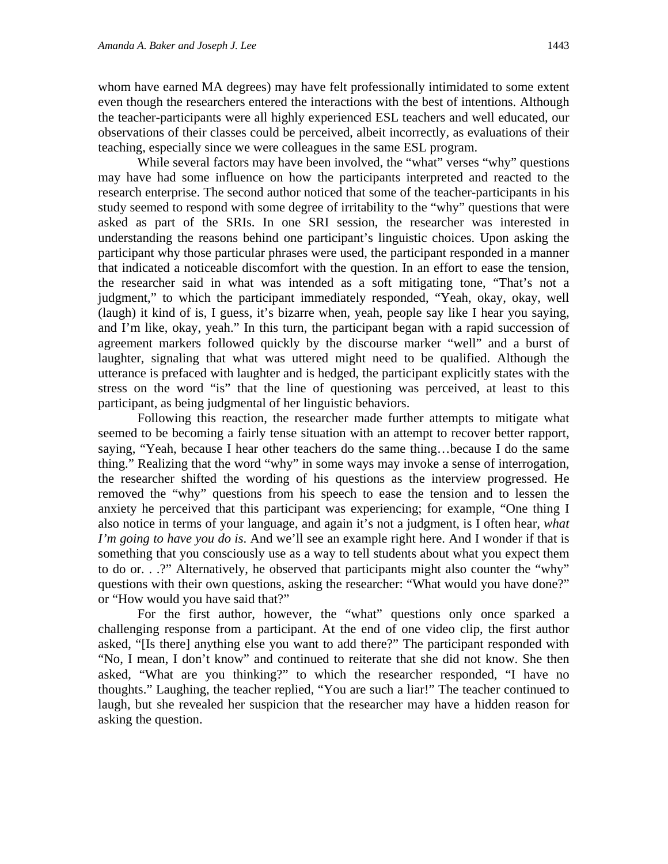whom have earned MA degrees) may have felt professionally intimidated to some extent even though the researchers entered the interactions with the best of intentions. Although the teacher-participants were all highly experienced ESL teachers and well educated, our observations of their classes could be perceived, albeit incorrectly, as evaluations of their teaching, especially since we were colleagues in the same ESL program.

While several factors may have been involved, the "what" verses "why" questions may have had some influence on how the participants interpreted and reacted to the research enterprise. The second author noticed that some of the teacher-participants in his study seemed to respond with some degree of irritability to the "why" questions that were asked as part of the SRIs. In one SRI session, the researcher was interested in understanding the reasons behind one participant's linguistic choices. Upon asking the participant why those particular phrases were used, the participant responded in a manner that indicated a noticeable discomfort with the question. In an effort to ease the tension, the researcher said in what was intended as a soft mitigating tone, "That's not a judgment," to which the participant immediately responded, "Yeah, okay, okay, well (laugh) it kind of is, I guess, it's bizarre when, yeah, people say like I hear you saying, and I'm like, okay, yeah." In this turn, the participant began with a rapid succession of agreement markers followed quickly by the discourse marker "well" and a burst of laughter, signaling that what was uttered might need to be qualified. Although the utterance is prefaced with laughter and is hedged, the participant explicitly states with the stress on the word "is" that the line of questioning was perceived, at least to this participant, as being judgmental of her linguistic behaviors.

 Following this reaction, the researcher made further attempts to mitigate what seemed to be becoming a fairly tense situation with an attempt to recover better rapport, saying, "Yeah, because I hear other teachers do the same thing…because I do the same thing." Realizing that the word "why" in some ways may invoke a sense of interrogation, the researcher shifted the wording of his questions as the interview progressed. He removed the "why" questions from his speech to ease the tension and to lessen the anxiety he perceived that this participant was experiencing; for example, "One thing I also notice in terms of your language, and again it's not a judgment, is I often hear, *what I'm going to have you do is*. And we'll see an example right here. And I wonder if that is something that you consciously use as a way to tell students about what you expect them to do or. . .?" Alternatively, he observed that participants might also counter the "why" questions with their own questions, asking the researcher: "What would you have done?" or "How would you have said that?"

 For the first author, however, the "what" questions only once sparked a challenging response from a participant. At the end of one video clip, the first author asked, "[Is there] anything else you want to add there?" The participant responded with "No, I mean, I don't know" and continued to reiterate that she did not know. She then asked, "What are you thinking?" to which the researcher responded, "I have no thoughts." Laughing, the teacher replied, "You are such a liar!" The teacher continued to laugh, but she revealed her suspicion that the researcher may have a hidden reason for asking the question.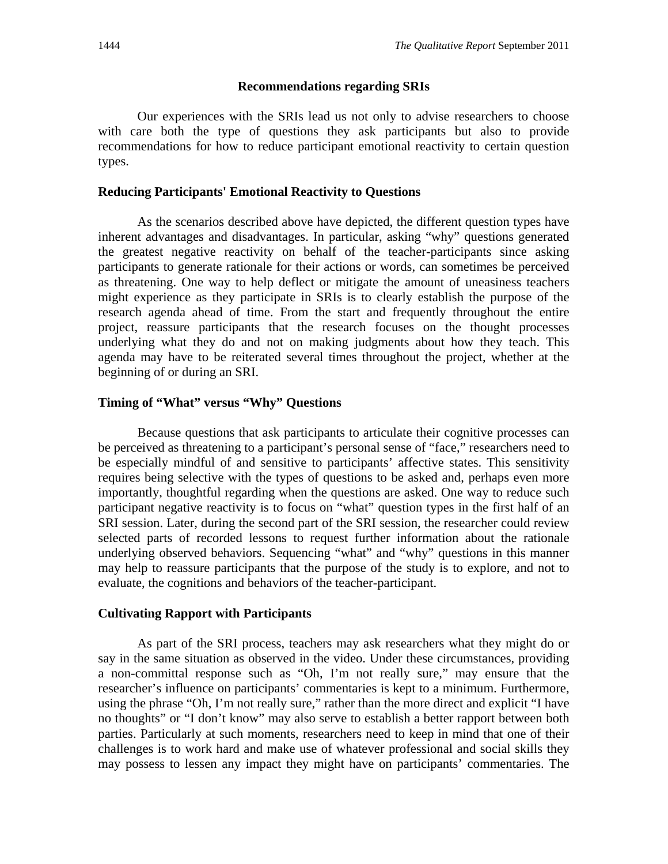#### **Recommendations regarding SRIs**

Our experiences with the SRIs lead us not only to advise researchers to choose with care both the type of questions they ask participants but also to provide recommendations for how to reduce participant emotional reactivity to certain question types.

# **Reducing Participants' Emotional Reactivity to Questions**

 As the scenarios described above have depicted, the different question types have inherent advantages and disadvantages. In particular, asking "why" questions generated the greatest negative reactivity on behalf of the teacher-participants since asking participants to generate rationale for their actions or words, can sometimes be perceived as threatening. One way to help deflect or mitigate the amount of uneasiness teachers might experience as they participate in SRIs is to clearly establish the purpose of the research agenda ahead of time. From the start and frequently throughout the entire project, reassure participants that the research focuses on the thought processes underlying what they do and not on making judgments about how they teach. This agenda may have to be reiterated several times throughout the project, whether at the beginning of or during an SRI.

# **Timing of "What" versus "Why" Questions**

 Because questions that ask participants to articulate their cognitive processes can be perceived as threatening to a participant's personal sense of "face," researchers need to be especially mindful of and sensitive to participants' affective states. This sensitivity requires being selective with the types of questions to be asked and, perhaps even more importantly, thoughtful regarding when the questions are asked. One way to reduce such participant negative reactivity is to focus on "what" question types in the first half of an SRI session. Later, during the second part of the SRI session, the researcher could review selected parts of recorded lessons to request further information about the rationale underlying observed behaviors. Sequencing "what" and "why" questions in this manner may help to reassure participants that the purpose of the study is to explore, and not to evaluate, the cognitions and behaviors of the teacher-participant.

#### **Cultivating Rapport with Participants**

 As part of the SRI process, teachers may ask researchers what they might do or say in the same situation as observed in the video. Under these circumstances, providing a non-committal response such as "Oh, I'm not really sure," may ensure that the researcher's influence on participants' commentaries is kept to a minimum. Furthermore, using the phrase "Oh, I'm not really sure," rather than the more direct and explicit "I have no thoughts" or "I don't know" may also serve to establish a better rapport between both parties. Particularly at such moments, researchers need to keep in mind that one of their challenges is to work hard and make use of whatever professional and social skills they may possess to lessen any impact they might have on participants' commentaries. The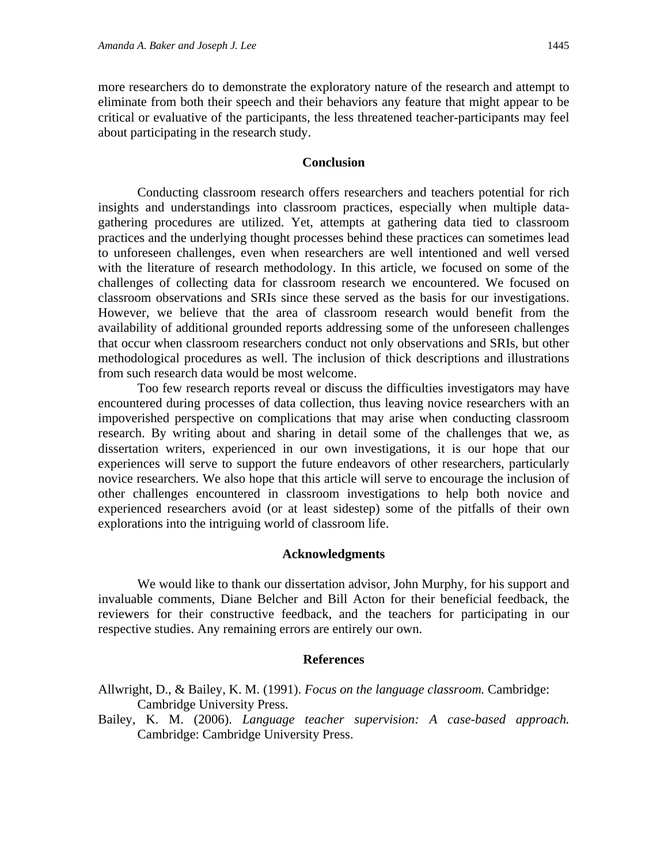more researchers do to demonstrate the exploratory nature of the research and attempt to eliminate from both their speech and their behaviors any feature that might appear to be critical or evaluative of the participants, the less threatened teacher-participants may feel about participating in the research study.

# **Conclusion**

 Conducting classroom research offers researchers and teachers potential for rich insights and understandings into classroom practices, especially when multiple datagathering procedures are utilized. Yet, attempts at gathering data tied to classroom practices and the underlying thought processes behind these practices can sometimes lead to unforeseen challenges, even when researchers are well intentioned and well versed with the literature of research methodology. In this article, we focused on some of the challenges of collecting data for classroom research we encountered. We focused on classroom observations and SRIs since these served as the basis for our investigations. However, we believe that the area of classroom research would benefit from the availability of additional grounded reports addressing some of the unforeseen challenges that occur when classroom researchers conduct not only observations and SRIs, but other methodological procedures as well. The inclusion of thick descriptions and illustrations from such research data would be most welcome.

 Too few research reports reveal or discuss the difficulties investigators may have encountered during processes of data collection, thus leaving novice researchers with an impoverished perspective on complications that may arise when conducting classroom research. By writing about and sharing in detail some of the challenges that we, as dissertation writers, experienced in our own investigations, it is our hope that our experiences will serve to support the future endeavors of other researchers, particularly novice researchers. We also hope that this article will serve to encourage the inclusion of other challenges encountered in classroom investigations to help both novice and experienced researchers avoid (or at least sidestep) some of the pitfalls of their own explorations into the intriguing world of classroom life.

# **Acknowledgments**

 We would like to thank our dissertation advisor, John Murphy, for his support and invaluable comments, Diane Belcher and Bill Acton for their beneficial feedback, the reviewers for their constructive feedback, and the teachers for participating in our respective studies. Any remaining errors are entirely our own.

# **References**

Allwright, D., & Bailey, K. M. (1991). *Focus on the language classroom.* Cambridge: Cambridge University Press.

Bailey, K. M. (2006). *Language teacher supervision: A case-based approach.* Cambridge: Cambridge University Press.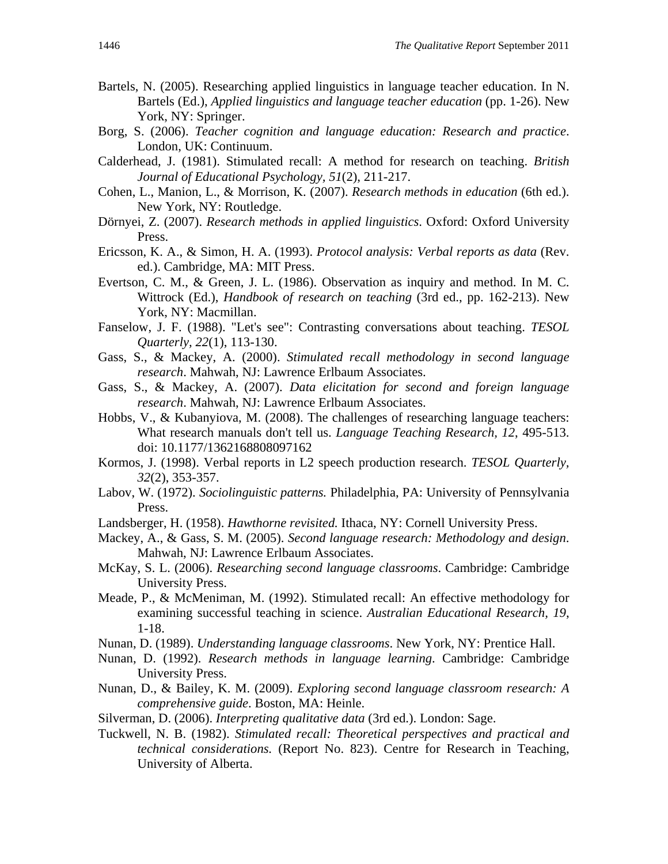- Bartels, N. (2005). Researching applied linguistics in language teacher education. In N. Bartels (Ed.), *Applied linguistics and language teacher education* (pp. 1-26). New York, NY: Springer.
- Borg, S. (2006). *Teacher cognition and language education: Research and practice*. London, UK: Continuum.
- Calderhead, J. (1981). Stimulated recall: A method for research on teaching. *British Journal of Educational Psychology, 51*(2), 211-217.
- Cohen, L., Manion, L., & Morrison, K. (2007). *Research methods in education* (6th ed.). New York, NY: Routledge.
- Dörnyei, Z. (2007). *Research methods in applied linguistics*. Oxford: Oxford University Press.
- Ericsson, K. A., & Simon, H. A. (1993). *Protocol analysis: Verbal reports as data* (Rev. ed.). Cambridge, MA: MIT Press.
- Evertson, C. M., & Green, J. L. (1986). Observation as inquiry and method. In M. C. Wittrock (Ed.), *Handbook of research on teaching* (3rd ed., pp. 162-213). New York, NY: Macmillan.
- Fanselow, J. F. (1988). "Let's see": Contrasting conversations about teaching. *TESOL Quarterly, 22*(1), 113-130.
- Gass, S., & Mackey, A. (2000). *Stimulated recall methodology in second language research*. Mahwah, NJ: Lawrence Erlbaum Associates.
- Gass, S., & Mackey, A. (2007). *Data elicitation for second and foreign language research*. Mahwah, NJ: Lawrence Erlbaum Associates.
- Hobbs, V., & Kubanyiova, M. (2008). The challenges of researching language teachers: What research manuals don't tell us. *Language Teaching Research, 12*, 495-513. doi: 10.1177/1362168808097162
- Kormos, J. (1998). Verbal reports in L2 speech production research. *TESOL Quarterly, 32*(2), 353-357.
- Labov, W. (1972). *Sociolinguistic patterns.* Philadelphia, PA: University of Pennsylvania Press.
- Landsberger, H. (1958). *Hawthorne revisited.* Ithaca, NY: Cornell University Press.
- Mackey, A., & Gass, S. M. (2005). *Second language research: Methodology and design*. Mahwah, NJ: Lawrence Erlbaum Associates.
- McKay, S. L. (2006). *Researching second language classrooms*. Cambridge: Cambridge University Press.
- Meade, P., & McMeniman, M. (1992). Stimulated recall: An effective methodology for examining successful teaching in science. *Australian Educational Research, 19*, 1-18.
- Nunan, D. (1989). *Understanding language classrooms*. New York, NY: Prentice Hall.
- Nunan, D. (1992). *Research methods in language learning*. Cambridge: Cambridge University Press.
- Nunan, D., & Bailey, K. M. (2009). *Exploring second language classroom research: A comprehensive guide*. Boston, MA: Heinle.
- Silverman, D. (2006). *Interpreting qualitative data* (3rd ed.). London: Sage.
- Tuckwell, N. B. (1982). *Stimulated recall: Theoretical perspectives and practical and technical considerations.* (Report No. 823). Centre for Research in Teaching, University of Alberta.